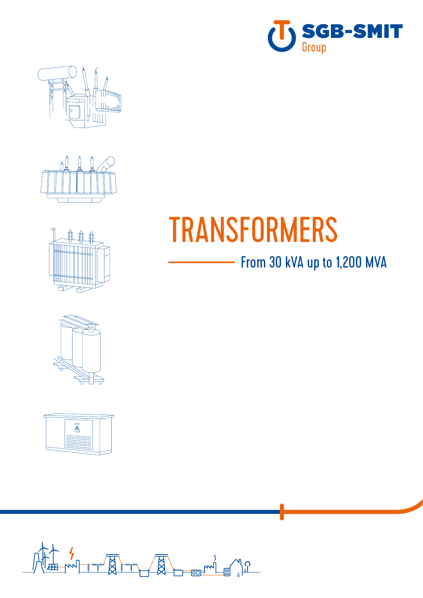











# TRANSFORMERS

### - From 30 kVA up to 1,200 MVA

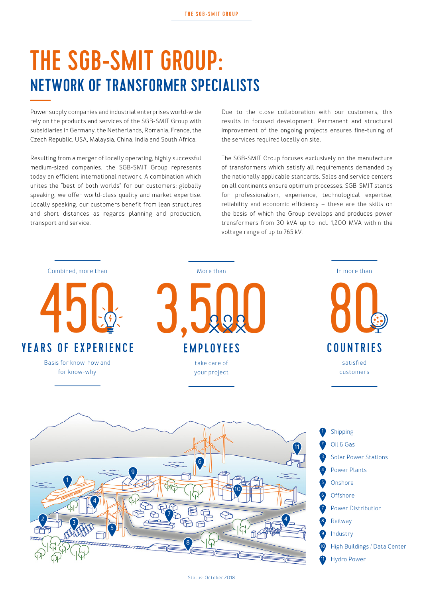# THE SGB-SMIT GROUP: NETWORK OF TRANSFORMER SPECIALISTS

Power supply companies and industrial enterprises world-wide rely on the products and services of the SGB-SMIT Group with subsidiaries in Germany, the Netherlands, Romania, France, the Czech Republic, USA, Malaysia, China, India and South Africa.

Resulting from a merger of locally operating, highly successful medium-sized companies, the SGB-SMIT Group represents today an efficient international network. A combination which unites the "best of both worlds" for our customers: globally speaking, we offer world-class quality and market expertise. Locally speaking, our customers benefit from lean structures and short distances as regards planning and production, transport and service.

Due to the close collaboration with our customers, this results in focused development. Permanent and structural improvement of the ongoing projects ensures fine-tuning of the services required locally on site.

The SGB-SMIT Group focuses exclusively on the manufacture of transformers which satisfy all requirements demanded by the nationally applicable standards. Sales and service centers on all continents ensure optimum processes. SGB-SMIT stands for professionalism, experience, technological expertise, reliability and economic efficiency – these are the skills on the basis of which the Group develops and produces power transformers from 30 kVA up to incl. 1,200 MVA within the voltage range of up to 765 kV.

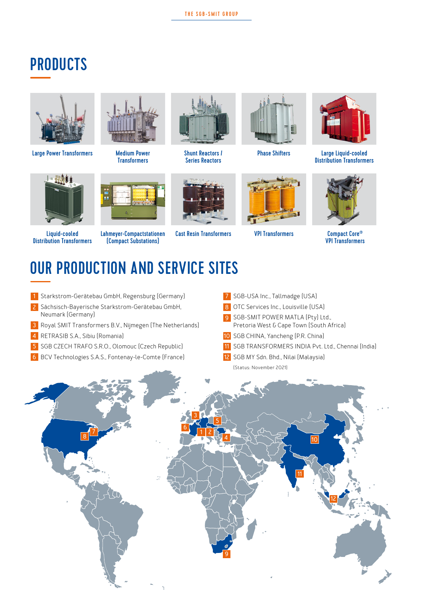#### **PRODUCTS**



Large Power Transformers



Liquid-cooled Distribution Transformers



Medium Power **Transformers** 



Shunt Reactors / Series Reactors



Phase Shifters



Large Liquid-cooled Distribution Transformers



Cast Resin Transformers VPI Transformers Compact Core® VPI Transformers

# OUR PRODUCTION AND SERVICE SITES

Lahmeyer-Compactstationen (Compact Substations)

- Starkstrom-Gerätebau GmbH, Regensburg (Germany) **1**
- Sächsisch-Bayerische Starkstrom-Gerätebau GmbH, **2** Neumark (Germany)
- Royal SMIT Transformers B.V., Nijmegen (The Netherlands) **3**
- RETRASIB S.A., Sibiu (Romania) **4**
- SGB CZECH TRAFO S.R.O., Olomouc (Czech Republic) **5**
- BCV Technologies S.A.S., Fontenay-le-Comte (France) **6**
- SGB-USA Inc., Tallmadge (USA) **7**
- OTC Services Inc., Louisville (USA) **8**
- **9** SGB-SMIT POWER MATLA (Pty) Ltd., Pretoria West & Cape Town (South Africa)
- 10 SGB CHINA, Yancheng (P.R. China)
- SGB TRANSFORMERS INDIA Pvt. Ltd., Chennai (India) **11**
- SGB MY Sdn. Bhd., Nilai (Malaysia) **12** (Status: November 2021)